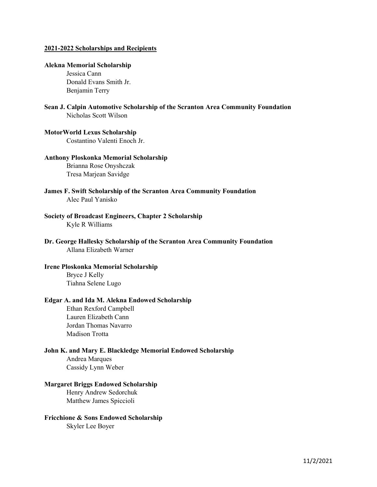#### 2021-2022 Scholarships and Recipients

#### Alekna Memorial Scholarship

Jessica Cann Donald Evans Smith Jr. Benjamin Terry

Sean J. Calpin Automotive Scholarship of the Scranton Area Community Foundation Nicholas Scott Wilson

## MotorWorld Lexus Scholarship

Costantino Valenti Enoch Jr.

#### Anthony Ploskonka Memorial Scholarship

Brianna Rose Onyshczak Tresa Marjean Savidge

- James F. Swift Scholarship of the Scranton Area Community Foundation Alec Paul Yanisko
- Society of Broadcast Engineers, Chapter 2 Scholarship Kyle R Williams
- Dr. George Hallesky Scholarship of the Scranton Area Community Foundation Allana Elizabeth Warner

## Irene Ploskonka Memorial Scholarship Bryce J Kelly Tiahna Selene Lugo

#### Edgar A. and Ida M. Alekna Endowed Scholarship

Ethan Rexford Campbell Lauren Elizabeth Cann Jordan Thomas Navarro Madison Trotta

#### John K. and Mary E. Blackledge Memorial Endowed Scholarship

Andrea Marques Cassidy Lynn Weber

#### Margaret Briggs Endowed Scholarship

Henry Andrew Sedorchuk Matthew James Spiccioli

#### Fricchione & Sons Endowed Scholarship

Skyler Lee Boyer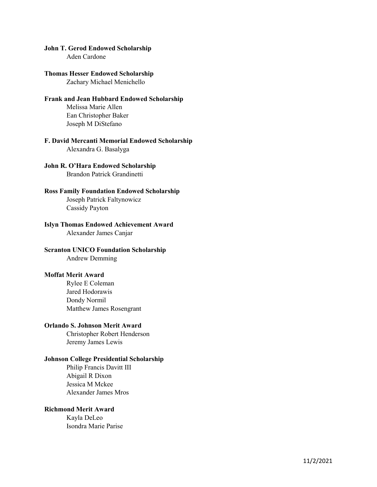#### John T. Gerod Endowed Scholarship

Aden Cardone

#### Thomas Hesser Endowed Scholarship

Zachary Michael Menichello

# Frank and Jean Hubbard Endowed Scholarship

Melissa Marie Allen Ean Christopher Baker Joseph M DiStefano

#### F. David Mercanti Memorial Endowed Scholarship Alexandra G. Basalyga

# John R. O'Hara Endowed Scholarship Brandon Patrick Grandinetti

# Ross Family Foundation Endowed Scholarship Joseph Patrick Faltynowicz

Cassidy Payton

# Islyn Thomas Endowed Achievement Award

Alexander James Canjar

# Scranton UNICO Foundation Scholarship

Andrew Demming

### Moffat Merit Award

Rylee E Coleman Jared Hodorawis Dondy Normil Matthew James Rosengrant

### Orlando S. Johnson Merit Award

Christopher Robert Henderson Jeremy James Lewis

# Johnson College Presidential Scholarship

Philip Francis Davitt III Abigail R Dixon Jessica M Mckee Alexander James Mros

### Richmond Merit Award

Kayla DeLeo Isondra Marie Parise